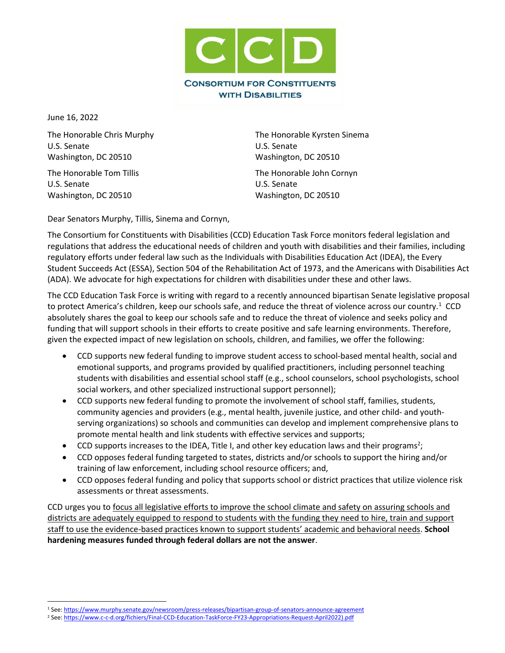

June 16, 2022

U.S. Senate U.S. Senate Washington, DC 20510 Washington, DC 20510

The Honorable Tom Tillis The Honorable John Cornyn U.S. Senate U.S. Senate Washington, DC 20510 Washington, DC 20510

The Honorable Chris Murphy The Honorable Kyrsten Sinema

Dear Senators Murphy, Tillis, Sinema and Cornyn,

The Consortium for Constituents with Disabilities (CCD) Education Task Force monitors federal legislation and regulations that address the educational needs of children and youth with disabilities and their families, including regulatory efforts under federal law such as the Individuals with Disabilities Education Act (IDEA), the Every Student Succeeds Act (ESSA), Section 504 of the Rehabilitation Act of 1973, and the Americans with Disabilities Act (ADA). We advocate for high expectations for children with disabilities under these and other laws.

The CCD Education Task Force is writing with regard to a recently announced bipartisan Senate legislative proposal to protect America's children, keep our schools safe, and reduce the threat of violence across our country.<sup>1</sup> CCD absolutely shares the goal to keep our schools safe and to reduce the threat of violence and seeks policy and funding that will support schools in their efforts to create positive and safe learning environments. Therefore, given the expected impact of new legislation on schools, children, and families, we offer the following:

- CCD supports new federal funding to improve student access to school-based mental health, social and emotional supports, and programs provided by qualified practitioners, including personnel teaching students with disabilities and essential school staff (e.g., school counselors, school psychologists, school social workers, and other specialized instructional support personnel);
- CCD supports new federal funding to promote the involvement of school staff, families, students, community agencies and providers (e.g., mental health, juvenile justice, and other child- and youthserving organizations) so schools and communities can develop and implement comprehensive plans to promote mental health and link students with effective services and supports;
- $\bullet$  CCD supports increases to the IDEA, Title I, and other key education laws and their programs<sup>2</sup>;
- CCD opposes federal funding targeted to states, districts and/or schools to support the hiring and/or training of law enforcement, including school resource officers; and,
- CCD opposes federal funding and policy that supports school or district practices that utilize violence risk assessments or threat assessments.

CCD urges you to focus all legislative efforts to improve the school climate and safety on assuring schools and districts are adequately equipped to respond to students with the funding they need to hire, train and support staff to use the evidence-based practices known to support students' academic and behavioral needs. **School hardening measures funded through federal dollars are not the answer**.

<sup>1</sup> See: https://www.murphy.senate.gov/newsroom/press-releases/bipartisan-group-of-senators-announce-agreement

<sup>2</sup> See: https://www.c-c-d.org/fichiers/Final-CCD-Education-TaskForce-FY23-Appropriations-Request-April2022).pdf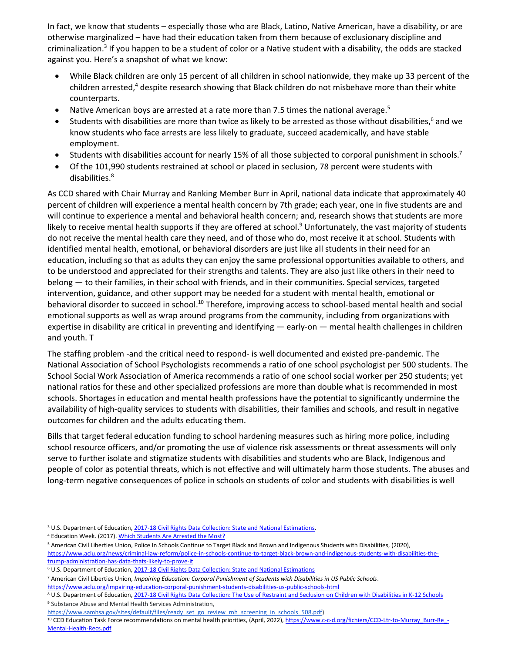In fact, we know that students – especially those who are Black, Latino, Native American, have a disability, or are otherwise marginalized – have had their education taken from them because of exclusionary discipline and criminalization.<sup>3</sup> If you happen to be a student of color or a Native student with a disability, the odds are stacked against you. Here's a snapshot of what we know:

- While Black children are only 15 percent of all children in school nationwide, they make up 33 percent of the children arrested,<sup>4</sup> despite research showing that Black children do not misbehave more than their white counterparts.
- Native American boys are arrested at a rate more than 7.5 times the national average.<sup>5</sup>
- Students with disabilities are more than twice as likely to be arrested as those without disabilities,<sup>6</sup> and we know students who face arrests are less likely to graduate, succeed academically, and have stable employment.
- Students with disabilities account for nearly 15% of all those subjected to corporal punishment in schools.<sup>7</sup>
- Of the 101,990 students restrained at school or placed in seclusion, 78 percent were students with disabilities.<sup>8</sup>

As CCD shared with Chair Murray and Ranking Member Burr in April, national data indicate that approximately 40 percent of children will experience a mental health concern by 7th grade; each year, one in five students are and will continue to experience a mental and behavioral health concern; and, research shows that students are more likely to receive mental health supports if they are offered at school.<sup>9</sup> Unfortunately, the vast majority of students do not receive the mental health care they need, and of those who do, most receive it at school. Students with identified mental health, emotional, or behavioral disorders are just like all students in their need for an education, including so that as adults they can enjoy the same professional opportunities available to others, and to be understood and appreciated for their strengths and talents. They are also just like others in their need to belong — to their families, in their school with friends, and in their communities. Special services, targeted intervention, guidance, and other support may be needed for a student with mental health, emotional or behavioral disorder to succeed in school.<sup>10</sup> Therefore, improving access to school-based mental health and social emotional supports as well as wrap around programs from the community, including from organizations with expertise in disability are critical in preventing and identifying — early-on — mental health challenges in children and youth. T

The staffing problem -and the critical need to respond- is well documented and existed pre-pandemic. The National Association of School Psychologists recommends a ratio of one school psychologist per 500 students. The School Social Work Association of America recommends a ratio of one school social worker per 250 students; yet national ratios for these and other specialized professions are more than double what is recommended in most schools. Shortages in education and mental health professions have the potential to significantly undermine the availability of high-quality services to students with disabilities, their families and schools, and result in negative outcomes for children and the adults educating them.

Bills that target federal education funding to school hardening measures such as hiring more police, including school resource officers, and/or promoting the use of violence risk assessments or threat assessments will only serve to further isolate and stigmatize students with disabilities and students who are Black, Indigenous and people of color as potential threats, which is not effective and will ultimately harm those students. The abuses and long-term negative consequences of police in schools on students of color and students with disabilities is well

<sup>&</sup>lt;sup>3</sup> U.S. Department of Education, [2017-18 Civil Rights Data Collection: State and National Estimations.](https://ocrdata.ed.gov/estimations/2017-2018)

<sup>&</sup>lt;sup>4</sup> Education Week. (2017)[. Which Students Are Arrested the Most?](https://www.edweek.org/which-students-are-arrested-most-in-school-u-s-data-by-school#/overview)

<sup>5</sup> American Civil Liberties Union, Police In Schools Continue to Target Black and Brown and Indigenous Students with Disabilities, (2020), [https://www.aclu.org/news/criminal-law-reform/police-in-schools-continue-to-target-black-brown-and-indigenous-students-with-disabilities-the](https://www.aclu.org/news/criminal-law-reform/police-in-schools-continue-to-target-black-brown-and-indigenous-students-with-disabilities-the-trump-administration-has-data-thats-likely-to-prove-it)[trump-administration-has-data-thats-likely-to-prove-it](https://www.aclu.org/news/criminal-law-reform/police-in-schools-continue-to-target-black-brown-and-indigenous-students-with-disabilities-the-trump-administration-has-data-thats-likely-to-prove-it)

<sup>6</sup> U.S. Department of Education, 2017-18 Civil [Rights Data Collection: State and National Estimations](https://ocrdata.ed.gov/estimations/2017-2018)

<sup>7</sup> American Civil Liberties Union, *Impairing Education: Corporal Punishment of Students with Disabilities in US Public Schools*.

<https://www.aclu.org/impairing-education-corporal-punishment-students-disabilities-us-public-schools-html>

<sup>8</sup> U.S. Department of Education, [2017-18 Civil Rights Data Collection: The Use of Restraint and Seclusion on Children with Disabilities in K-12 Schools](https://www2.ed.gov/about/offices/list/ocr/docs/restraint-and-seclusion.pdf) <sup>9</sup> Substance Abuse and Mental Health Services Administration,

[https://www.samhsa.gov/sites/default/files/ready\\_set\\_go\\_review\\_mh\\_screening\\_in\\_schools\\_508.pdf\)](https://www.samhsa.gov/sites/default/files/ready_set_go_review_mh_screening_in_schools_508.pdf)

<sup>&</sup>lt;sup>10</sup> CCD Education Task Force recommendations on mental health priorities, (April, 2022)[, https://www.c-c-d.org/fichiers/CCD-Ltr-to-Murray\\_Burr-Re\\_-](https://www.c-c-d.org/fichiers/CCD-Ltr-to-Murray_Burr-Re_-Mental-Health-Recs.pdf) [Mental-Health-Recs.pdf](https://www.c-c-d.org/fichiers/CCD-Ltr-to-Murray_Burr-Re_-Mental-Health-Recs.pdf)